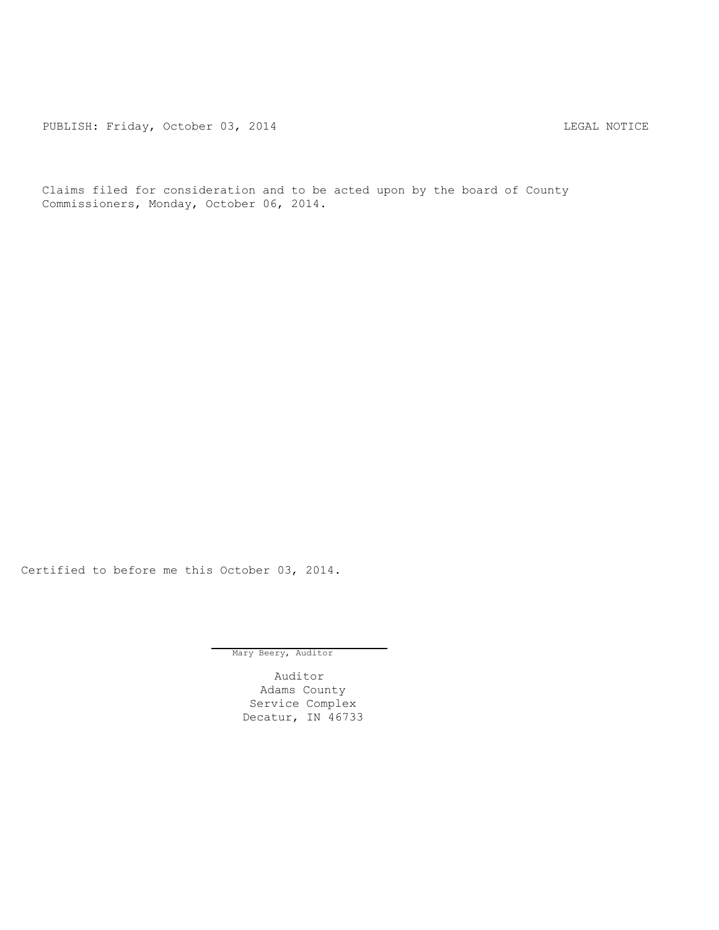PUBLISH: Friday, October 03, 2014 CHA CHANGE CONSTRUCTED AND THE LEGAL NOTICE

Claims filed for consideration and to be acted upon by the board of County Commissioners, Monday, October 06, 2014.

Certified to before me this October 03, 2014.

Mary Beery, Auditor

Auditor Adams County Service Complex Decatur, IN 46733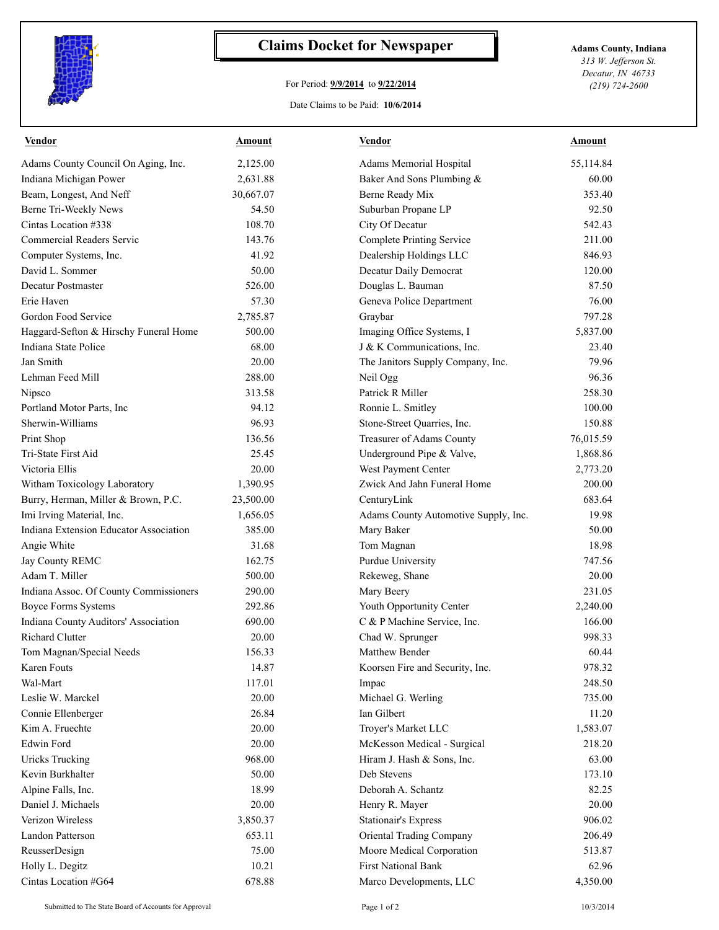

## **Claims Docket for Newspaper Adams County, Indiana**

## For Period: **9/9/2014** to **9/22/2014**

Date Claims to be Paid: **10/6/2014**

*313 W. Jefferson St. Decatur, IN 46733 (219) 724-2600*

| Adams County Council On Aging, Inc.<br>2,125.00<br>Adams Memorial Hospital<br>55,114.84<br>Indiana Michigan Power<br>Baker And Sons Plumbing &<br>2,631.88<br>60.00<br>Beam, Longest, And Neff<br>30,667.07<br>Berne Ready Mix<br>353.40<br>Berne Tri-Weekly News<br>92.50<br>54.50<br>Suburban Propane LP<br>Cintas Location #338<br>108.70<br>City Of Decatur<br>542.43<br><b>Commercial Readers Servic</b><br><b>Complete Printing Service</b><br>211.00<br>143.76<br>Dealership Holdings LLC<br>Computer Systems, Inc.<br>41.92<br>846.93<br>David L. Sommer<br>50.00<br>Decatur Daily Democrat<br>120.00<br>Decatur Postmaster<br>Douglas L. Bauman<br>87.50<br>526.00<br>57.30<br>Geneva Police Department<br>76.00<br>Erie Haven<br>Gordon Food Service<br>2,785.87<br>797.28<br>Graybar<br>Haggard-Sefton & Hirschy Funeral Home<br>500.00<br>Imaging Office Systems, I<br>5,837.00<br>Indiana State Police<br>J & K Communications, Inc.<br>68.00<br>23.40<br>Jan Smith<br>20.00<br>The Janitors Supply Company, Inc.<br>79.96<br>Lehman Feed Mill<br>96.36<br>288.00<br>Neil Ogg<br>Patrick R Miller<br>258.30<br>Nipsco<br>313.58<br>Portland Motor Parts, Inc<br>94.12<br>100.00<br>Ronnie L. Smitley<br>Sherwin-Williams<br>96.93<br>Stone-Street Quarries, Inc.<br>150.88<br>136.56<br>Treasurer of Adams County<br>Print Shop<br>76,015.59<br>Tri-State First Aid<br>25.45<br>Underground Pipe & Valve,<br>1,868.86<br>Victoria Ellis<br>20.00<br>West Payment Center<br>2,773.20<br>Witham Toxicology Laboratory<br>Zwick And Jahn Funeral Home<br>200.00<br>1,390.95<br>Burry, Herman, Miller & Brown, P.C.<br>23,500.00<br>683.64<br>CenturyLink<br>Imi Irving Material, Inc.<br>19.98<br>1,656.05<br>Adams County Automotive Supply, Inc.<br>Indiana Extension Educator Association<br>385.00<br>Mary Baker<br>50.00<br>Angie White<br>31.68<br>Tom Magnan<br>18.98<br>Jay County REMC<br>162.75<br>Purdue University<br>747.56<br>Adam T. Miller<br>500.00<br>20.00<br>Rekeweg, Shane<br>Indiana Assoc. Of County Commissioners<br>290.00<br>Mary Beery<br>231.05<br>Youth Opportunity Center<br><b>Boyce Forms Systems</b><br>292.86<br>2,240.00<br>Indiana County Auditors' Association<br>C & P Machine Service, Inc.<br>166.00<br>690.00<br>Richard Clutter<br>Chad W. Sprunger<br>998.33<br>20.00<br>Tom Magnan/Special Needs<br>156.33<br>Matthew Bender<br>60.44<br>978.32<br>Karen Fouts<br>14.87<br>Koorsen Fire and Security, Inc.<br>Wal-Mart<br>117.01<br>248.50<br>Impac<br>Leslie W. Marckel<br>20.00<br>Michael G. Werling<br>735.00<br>26.84<br>Ian Gilbert<br>11.20<br>Connie Ellenberger<br>Kim A. Fruechte<br>20.00<br>Troyer's Market LLC<br>1,583.07<br><b>Edwin Ford</b><br>20.00<br>McKesson Medical - Surgical<br>218.20<br><b>Uricks Trucking</b><br>968.00<br>63.00<br>Hiram J. Hash & Sons, Inc.<br>Kevin Burkhalter<br>50.00<br>Deb Stevens<br>173.10<br>Alpine Falls, Inc.<br>18.99<br>Deborah A. Schantz<br>82.25<br>20.00<br>Daniel J. Michaels<br>20.00<br>Henry R. Mayer<br>Verizon Wireless<br>3,850.37<br>906.02<br><b>Stationair's Express</b><br>206.49<br>Landon Patterson<br>653.11<br>Oriental Trading Company<br>75.00<br>Moore Medical Corporation<br>ReusserDesign<br>513.87<br><b>First National Bank</b><br>Holly L. Degitz<br>10.21<br>62.96 | <b>Vendor</b>        | Amount | <b>Vendor</b>           | Amount   |
|----------------------------------------------------------------------------------------------------------------------------------------------------------------------------------------------------------------------------------------------------------------------------------------------------------------------------------------------------------------------------------------------------------------------------------------------------------------------------------------------------------------------------------------------------------------------------------------------------------------------------------------------------------------------------------------------------------------------------------------------------------------------------------------------------------------------------------------------------------------------------------------------------------------------------------------------------------------------------------------------------------------------------------------------------------------------------------------------------------------------------------------------------------------------------------------------------------------------------------------------------------------------------------------------------------------------------------------------------------------------------------------------------------------------------------------------------------------------------------------------------------------------------------------------------------------------------------------------------------------------------------------------------------------------------------------------------------------------------------------------------------------------------------------------------------------------------------------------------------------------------------------------------------------------------------------------------------------------------------------------------------------------------------------------------------------------------------------------------------------------------------------------------------------------------------------------------------------------------------------------------------------------------------------------------------------------------------------------------------------------------------------------------------------------------------------------------------------------------------------------------------------------------------------------------------------------------------------------------------------------------------------------------------------------------------------------------------------------------------------------------------------------------------------------------------------------------------------------------------------------------------------------------------------------------------------------------------------------------------------------------------------------------------------------------------------------------------------------------------------------------------------------------------------------------------------------------------------------------------------------------------------------------------------------------------------|----------------------|--------|-------------------------|----------|
|                                                                                                                                                                                                                                                                                                                                                                                                                                                                                                                                                                                                                                                                                                                                                                                                                                                                                                                                                                                                                                                                                                                                                                                                                                                                                                                                                                                                                                                                                                                                                                                                                                                                                                                                                                                                                                                                                                                                                                                                                                                                                                                                                                                                                                                                                                                                                                                                                                                                                                                                                                                                                                                                                                                                                                                                                                                                                                                                                                                                                                                                                                                                                                                                                                                                                                                |                      |        |                         |          |
|                                                                                                                                                                                                                                                                                                                                                                                                                                                                                                                                                                                                                                                                                                                                                                                                                                                                                                                                                                                                                                                                                                                                                                                                                                                                                                                                                                                                                                                                                                                                                                                                                                                                                                                                                                                                                                                                                                                                                                                                                                                                                                                                                                                                                                                                                                                                                                                                                                                                                                                                                                                                                                                                                                                                                                                                                                                                                                                                                                                                                                                                                                                                                                                                                                                                                                                |                      |        |                         |          |
|                                                                                                                                                                                                                                                                                                                                                                                                                                                                                                                                                                                                                                                                                                                                                                                                                                                                                                                                                                                                                                                                                                                                                                                                                                                                                                                                                                                                                                                                                                                                                                                                                                                                                                                                                                                                                                                                                                                                                                                                                                                                                                                                                                                                                                                                                                                                                                                                                                                                                                                                                                                                                                                                                                                                                                                                                                                                                                                                                                                                                                                                                                                                                                                                                                                                                                                |                      |        |                         |          |
|                                                                                                                                                                                                                                                                                                                                                                                                                                                                                                                                                                                                                                                                                                                                                                                                                                                                                                                                                                                                                                                                                                                                                                                                                                                                                                                                                                                                                                                                                                                                                                                                                                                                                                                                                                                                                                                                                                                                                                                                                                                                                                                                                                                                                                                                                                                                                                                                                                                                                                                                                                                                                                                                                                                                                                                                                                                                                                                                                                                                                                                                                                                                                                                                                                                                                                                |                      |        |                         |          |
|                                                                                                                                                                                                                                                                                                                                                                                                                                                                                                                                                                                                                                                                                                                                                                                                                                                                                                                                                                                                                                                                                                                                                                                                                                                                                                                                                                                                                                                                                                                                                                                                                                                                                                                                                                                                                                                                                                                                                                                                                                                                                                                                                                                                                                                                                                                                                                                                                                                                                                                                                                                                                                                                                                                                                                                                                                                                                                                                                                                                                                                                                                                                                                                                                                                                                                                |                      |        |                         |          |
|                                                                                                                                                                                                                                                                                                                                                                                                                                                                                                                                                                                                                                                                                                                                                                                                                                                                                                                                                                                                                                                                                                                                                                                                                                                                                                                                                                                                                                                                                                                                                                                                                                                                                                                                                                                                                                                                                                                                                                                                                                                                                                                                                                                                                                                                                                                                                                                                                                                                                                                                                                                                                                                                                                                                                                                                                                                                                                                                                                                                                                                                                                                                                                                                                                                                                                                |                      |        |                         |          |
|                                                                                                                                                                                                                                                                                                                                                                                                                                                                                                                                                                                                                                                                                                                                                                                                                                                                                                                                                                                                                                                                                                                                                                                                                                                                                                                                                                                                                                                                                                                                                                                                                                                                                                                                                                                                                                                                                                                                                                                                                                                                                                                                                                                                                                                                                                                                                                                                                                                                                                                                                                                                                                                                                                                                                                                                                                                                                                                                                                                                                                                                                                                                                                                                                                                                                                                |                      |        |                         |          |
|                                                                                                                                                                                                                                                                                                                                                                                                                                                                                                                                                                                                                                                                                                                                                                                                                                                                                                                                                                                                                                                                                                                                                                                                                                                                                                                                                                                                                                                                                                                                                                                                                                                                                                                                                                                                                                                                                                                                                                                                                                                                                                                                                                                                                                                                                                                                                                                                                                                                                                                                                                                                                                                                                                                                                                                                                                                                                                                                                                                                                                                                                                                                                                                                                                                                                                                |                      |        |                         |          |
|                                                                                                                                                                                                                                                                                                                                                                                                                                                                                                                                                                                                                                                                                                                                                                                                                                                                                                                                                                                                                                                                                                                                                                                                                                                                                                                                                                                                                                                                                                                                                                                                                                                                                                                                                                                                                                                                                                                                                                                                                                                                                                                                                                                                                                                                                                                                                                                                                                                                                                                                                                                                                                                                                                                                                                                                                                                                                                                                                                                                                                                                                                                                                                                                                                                                                                                |                      |        |                         |          |
|                                                                                                                                                                                                                                                                                                                                                                                                                                                                                                                                                                                                                                                                                                                                                                                                                                                                                                                                                                                                                                                                                                                                                                                                                                                                                                                                                                                                                                                                                                                                                                                                                                                                                                                                                                                                                                                                                                                                                                                                                                                                                                                                                                                                                                                                                                                                                                                                                                                                                                                                                                                                                                                                                                                                                                                                                                                                                                                                                                                                                                                                                                                                                                                                                                                                                                                |                      |        |                         |          |
|                                                                                                                                                                                                                                                                                                                                                                                                                                                                                                                                                                                                                                                                                                                                                                                                                                                                                                                                                                                                                                                                                                                                                                                                                                                                                                                                                                                                                                                                                                                                                                                                                                                                                                                                                                                                                                                                                                                                                                                                                                                                                                                                                                                                                                                                                                                                                                                                                                                                                                                                                                                                                                                                                                                                                                                                                                                                                                                                                                                                                                                                                                                                                                                                                                                                                                                |                      |        |                         |          |
|                                                                                                                                                                                                                                                                                                                                                                                                                                                                                                                                                                                                                                                                                                                                                                                                                                                                                                                                                                                                                                                                                                                                                                                                                                                                                                                                                                                                                                                                                                                                                                                                                                                                                                                                                                                                                                                                                                                                                                                                                                                                                                                                                                                                                                                                                                                                                                                                                                                                                                                                                                                                                                                                                                                                                                                                                                                                                                                                                                                                                                                                                                                                                                                                                                                                                                                |                      |        |                         |          |
|                                                                                                                                                                                                                                                                                                                                                                                                                                                                                                                                                                                                                                                                                                                                                                                                                                                                                                                                                                                                                                                                                                                                                                                                                                                                                                                                                                                                                                                                                                                                                                                                                                                                                                                                                                                                                                                                                                                                                                                                                                                                                                                                                                                                                                                                                                                                                                                                                                                                                                                                                                                                                                                                                                                                                                                                                                                                                                                                                                                                                                                                                                                                                                                                                                                                                                                |                      |        |                         |          |
|                                                                                                                                                                                                                                                                                                                                                                                                                                                                                                                                                                                                                                                                                                                                                                                                                                                                                                                                                                                                                                                                                                                                                                                                                                                                                                                                                                                                                                                                                                                                                                                                                                                                                                                                                                                                                                                                                                                                                                                                                                                                                                                                                                                                                                                                                                                                                                                                                                                                                                                                                                                                                                                                                                                                                                                                                                                                                                                                                                                                                                                                                                                                                                                                                                                                                                                |                      |        |                         |          |
|                                                                                                                                                                                                                                                                                                                                                                                                                                                                                                                                                                                                                                                                                                                                                                                                                                                                                                                                                                                                                                                                                                                                                                                                                                                                                                                                                                                                                                                                                                                                                                                                                                                                                                                                                                                                                                                                                                                                                                                                                                                                                                                                                                                                                                                                                                                                                                                                                                                                                                                                                                                                                                                                                                                                                                                                                                                                                                                                                                                                                                                                                                                                                                                                                                                                                                                |                      |        |                         |          |
|                                                                                                                                                                                                                                                                                                                                                                                                                                                                                                                                                                                                                                                                                                                                                                                                                                                                                                                                                                                                                                                                                                                                                                                                                                                                                                                                                                                                                                                                                                                                                                                                                                                                                                                                                                                                                                                                                                                                                                                                                                                                                                                                                                                                                                                                                                                                                                                                                                                                                                                                                                                                                                                                                                                                                                                                                                                                                                                                                                                                                                                                                                                                                                                                                                                                                                                |                      |        |                         |          |
|                                                                                                                                                                                                                                                                                                                                                                                                                                                                                                                                                                                                                                                                                                                                                                                                                                                                                                                                                                                                                                                                                                                                                                                                                                                                                                                                                                                                                                                                                                                                                                                                                                                                                                                                                                                                                                                                                                                                                                                                                                                                                                                                                                                                                                                                                                                                                                                                                                                                                                                                                                                                                                                                                                                                                                                                                                                                                                                                                                                                                                                                                                                                                                                                                                                                                                                |                      |        |                         |          |
|                                                                                                                                                                                                                                                                                                                                                                                                                                                                                                                                                                                                                                                                                                                                                                                                                                                                                                                                                                                                                                                                                                                                                                                                                                                                                                                                                                                                                                                                                                                                                                                                                                                                                                                                                                                                                                                                                                                                                                                                                                                                                                                                                                                                                                                                                                                                                                                                                                                                                                                                                                                                                                                                                                                                                                                                                                                                                                                                                                                                                                                                                                                                                                                                                                                                                                                |                      |        |                         |          |
|                                                                                                                                                                                                                                                                                                                                                                                                                                                                                                                                                                                                                                                                                                                                                                                                                                                                                                                                                                                                                                                                                                                                                                                                                                                                                                                                                                                                                                                                                                                                                                                                                                                                                                                                                                                                                                                                                                                                                                                                                                                                                                                                                                                                                                                                                                                                                                                                                                                                                                                                                                                                                                                                                                                                                                                                                                                                                                                                                                                                                                                                                                                                                                                                                                                                                                                |                      |        |                         |          |
|                                                                                                                                                                                                                                                                                                                                                                                                                                                                                                                                                                                                                                                                                                                                                                                                                                                                                                                                                                                                                                                                                                                                                                                                                                                                                                                                                                                                                                                                                                                                                                                                                                                                                                                                                                                                                                                                                                                                                                                                                                                                                                                                                                                                                                                                                                                                                                                                                                                                                                                                                                                                                                                                                                                                                                                                                                                                                                                                                                                                                                                                                                                                                                                                                                                                                                                |                      |        |                         |          |
|                                                                                                                                                                                                                                                                                                                                                                                                                                                                                                                                                                                                                                                                                                                                                                                                                                                                                                                                                                                                                                                                                                                                                                                                                                                                                                                                                                                                                                                                                                                                                                                                                                                                                                                                                                                                                                                                                                                                                                                                                                                                                                                                                                                                                                                                                                                                                                                                                                                                                                                                                                                                                                                                                                                                                                                                                                                                                                                                                                                                                                                                                                                                                                                                                                                                                                                |                      |        |                         |          |
|                                                                                                                                                                                                                                                                                                                                                                                                                                                                                                                                                                                                                                                                                                                                                                                                                                                                                                                                                                                                                                                                                                                                                                                                                                                                                                                                                                                                                                                                                                                                                                                                                                                                                                                                                                                                                                                                                                                                                                                                                                                                                                                                                                                                                                                                                                                                                                                                                                                                                                                                                                                                                                                                                                                                                                                                                                                                                                                                                                                                                                                                                                                                                                                                                                                                                                                |                      |        |                         |          |
|                                                                                                                                                                                                                                                                                                                                                                                                                                                                                                                                                                                                                                                                                                                                                                                                                                                                                                                                                                                                                                                                                                                                                                                                                                                                                                                                                                                                                                                                                                                                                                                                                                                                                                                                                                                                                                                                                                                                                                                                                                                                                                                                                                                                                                                                                                                                                                                                                                                                                                                                                                                                                                                                                                                                                                                                                                                                                                                                                                                                                                                                                                                                                                                                                                                                                                                |                      |        |                         |          |
|                                                                                                                                                                                                                                                                                                                                                                                                                                                                                                                                                                                                                                                                                                                                                                                                                                                                                                                                                                                                                                                                                                                                                                                                                                                                                                                                                                                                                                                                                                                                                                                                                                                                                                                                                                                                                                                                                                                                                                                                                                                                                                                                                                                                                                                                                                                                                                                                                                                                                                                                                                                                                                                                                                                                                                                                                                                                                                                                                                                                                                                                                                                                                                                                                                                                                                                |                      |        |                         |          |
|                                                                                                                                                                                                                                                                                                                                                                                                                                                                                                                                                                                                                                                                                                                                                                                                                                                                                                                                                                                                                                                                                                                                                                                                                                                                                                                                                                                                                                                                                                                                                                                                                                                                                                                                                                                                                                                                                                                                                                                                                                                                                                                                                                                                                                                                                                                                                                                                                                                                                                                                                                                                                                                                                                                                                                                                                                                                                                                                                                                                                                                                                                                                                                                                                                                                                                                |                      |        |                         |          |
|                                                                                                                                                                                                                                                                                                                                                                                                                                                                                                                                                                                                                                                                                                                                                                                                                                                                                                                                                                                                                                                                                                                                                                                                                                                                                                                                                                                                                                                                                                                                                                                                                                                                                                                                                                                                                                                                                                                                                                                                                                                                                                                                                                                                                                                                                                                                                                                                                                                                                                                                                                                                                                                                                                                                                                                                                                                                                                                                                                                                                                                                                                                                                                                                                                                                                                                |                      |        |                         |          |
|                                                                                                                                                                                                                                                                                                                                                                                                                                                                                                                                                                                                                                                                                                                                                                                                                                                                                                                                                                                                                                                                                                                                                                                                                                                                                                                                                                                                                                                                                                                                                                                                                                                                                                                                                                                                                                                                                                                                                                                                                                                                                                                                                                                                                                                                                                                                                                                                                                                                                                                                                                                                                                                                                                                                                                                                                                                                                                                                                                                                                                                                                                                                                                                                                                                                                                                |                      |        |                         |          |
|                                                                                                                                                                                                                                                                                                                                                                                                                                                                                                                                                                                                                                                                                                                                                                                                                                                                                                                                                                                                                                                                                                                                                                                                                                                                                                                                                                                                                                                                                                                                                                                                                                                                                                                                                                                                                                                                                                                                                                                                                                                                                                                                                                                                                                                                                                                                                                                                                                                                                                                                                                                                                                                                                                                                                                                                                                                                                                                                                                                                                                                                                                                                                                                                                                                                                                                |                      |        |                         |          |
|                                                                                                                                                                                                                                                                                                                                                                                                                                                                                                                                                                                                                                                                                                                                                                                                                                                                                                                                                                                                                                                                                                                                                                                                                                                                                                                                                                                                                                                                                                                                                                                                                                                                                                                                                                                                                                                                                                                                                                                                                                                                                                                                                                                                                                                                                                                                                                                                                                                                                                                                                                                                                                                                                                                                                                                                                                                                                                                                                                                                                                                                                                                                                                                                                                                                                                                |                      |        |                         |          |
|                                                                                                                                                                                                                                                                                                                                                                                                                                                                                                                                                                                                                                                                                                                                                                                                                                                                                                                                                                                                                                                                                                                                                                                                                                                                                                                                                                                                                                                                                                                                                                                                                                                                                                                                                                                                                                                                                                                                                                                                                                                                                                                                                                                                                                                                                                                                                                                                                                                                                                                                                                                                                                                                                                                                                                                                                                                                                                                                                                                                                                                                                                                                                                                                                                                                                                                |                      |        |                         |          |
|                                                                                                                                                                                                                                                                                                                                                                                                                                                                                                                                                                                                                                                                                                                                                                                                                                                                                                                                                                                                                                                                                                                                                                                                                                                                                                                                                                                                                                                                                                                                                                                                                                                                                                                                                                                                                                                                                                                                                                                                                                                                                                                                                                                                                                                                                                                                                                                                                                                                                                                                                                                                                                                                                                                                                                                                                                                                                                                                                                                                                                                                                                                                                                                                                                                                                                                |                      |        |                         |          |
|                                                                                                                                                                                                                                                                                                                                                                                                                                                                                                                                                                                                                                                                                                                                                                                                                                                                                                                                                                                                                                                                                                                                                                                                                                                                                                                                                                                                                                                                                                                                                                                                                                                                                                                                                                                                                                                                                                                                                                                                                                                                                                                                                                                                                                                                                                                                                                                                                                                                                                                                                                                                                                                                                                                                                                                                                                                                                                                                                                                                                                                                                                                                                                                                                                                                                                                |                      |        |                         |          |
|                                                                                                                                                                                                                                                                                                                                                                                                                                                                                                                                                                                                                                                                                                                                                                                                                                                                                                                                                                                                                                                                                                                                                                                                                                                                                                                                                                                                                                                                                                                                                                                                                                                                                                                                                                                                                                                                                                                                                                                                                                                                                                                                                                                                                                                                                                                                                                                                                                                                                                                                                                                                                                                                                                                                                                                                                                                                                                                                                                                                                                                                                                                                                                                                                                                                                                                |                      |        |                         |          |
|                                                                                                                                                                                                                                                                                                                                                                                                                                                                                                                                                                                                                                                                                                                                                                                                                                                                                                                                                                                                                                                                                                                                                                                                                                                                                                                                                                                                                                                                                                                                                                                                                                                                                                                                                                                                                                                                                                                                                                                                                                                                                                                                                                                                                                                                                                                                                                                                                                                                                                                                                                                                                                                                                                                                                                                                                                                                                                                                                                                                                                                                                                                                                                                                                                                                                                                |                      |        |                         |          |
|                                                                                                                                                                                                                                                                                                                                                                                                                                                                                                                                                                                                                                                                                                                                                                                                                                                                                                                                                                                                                                                                                                                                                                                                                                                                                                                                                                                                                                                                                                                                                                                                                                                                                                                                                                                                                                                                                                                                                                                                                                                                                                                                                                                                                                                                                                                                                                                                                                                                                                                                                                                                                                                                                                                                                                                                                                                                                                                                                                                                                                                                                                                                                                                                                                                                                                                |                      |        |                         |          |
|                                                                                                                                                                                                                                                                                                                                                                                                                                                                                                                                                                                                                                                                                                                                                                                                                                                                                                                                                                                                                                                                                                                                                                                                                                                                                                                                                                                                                                                                                                                                                                                                                                                                                                                                                                                                                                                                                                                                                                                                                                                                                                                                                                                                                                                                                                                                                                                                                                                                                                                                                                                                                                                                                                                                                                                                                                                                                                                                                                                                                                                                                                                                                                                                                                                                                                                |                      |        |                         |          |
|                                                                                                                                                                                                                                                                                                                                                                                                                                                                                                                                                                                                                                                                                                                                                                                                                                                                                                                                                                                                                                                                                                                                                                                                                                                                                                                                                                                                                                                                                                                                                                                                                                                                                                                                                                                                                                                                                                                                                                                                                                                                                                                                                                                                                                                                                                                                                                                                                                                                                                                                                                                                                                                                                                                                                                                                                                                                                                                                                                                                                                                                                                                                                                                                                                                                                                                |                      |        |                         |          |
|                                                                                                                                                                                                                                                                                                                                                                                                                                                                                                                                                                                                                                                                                                                                                                                                                                                                                                                                                                                                                                                                                                                                                                                                                                                                                                                                                                                                                                                                                                                                                                                                                                                                                                                                                                                                                                                                                                                                                                                                                                                                                                                                                                                                                                                                                                                                                                                                                                                                                                                                                                                                                                                                                                                                                                                                                                                                                                                                                                                                                                                                                                                                                                                                                                                                                                                |                      |        |                         |          |
|                                                                                                                                                                                                                                                                                                                                                                                                                                                                                                                                                                                                                                                                                                                                                                                                                                                                                                                                                                                                                                                                                                                                                                                                                                                                                                                                                                                                                                                                                                                                                                                                                                                                                                                                                                                                                                                                                                                                                                                                                                                                                                                                                                                                                                                                                                                                                                                                                                                                                                                                                                                                                                                                                                                                                                                                                                                                                                                                                                                                                                                                                                                                                                                                                                                                                                                |                      |        |                         |          |
|                                                                                                                                                                                                                                                                                                                                                                                                                                                                                                                                                                                                                                                                                                                                                                                                                                                                                                                                                                                                                                                                                                                                                                                                                                                                                                                                                                                                                                                                                                                                                                                                                                                                                                                                                                                                                                                                                                                                                                                                                                                                                                                                                                                                                                                                                                                                                                                                                                                                                                                                                                                                                                                                                                                                                                                                                                                                                                                                                                                                                                                                                                                                                                                                                                                                                                                |                      |        |                         |          |
|                                                                                                                                                                                                                                                                                                                                                                                                                                                                                                                                                                                                                                                                                                                                                                                                                                                                                                                                                                                                                                                                                                                                                                                                                                                                                                                                                                                                                                                                                                                                                                                                                                                                                                                                                                                                                                                                                                                                                                                                                                                                                                                                                                                                                                                                                                                                                                                                                                                                                                                                                                                                                                                                                                                                                                                                                                                                                                                                                                                                                                                                                                                                                                                                                                                                                                                |                      |        |                         |          |
|                                                                                                                                                                                                                                                                                                                                                                                                                                                                                                                                                                                                                                                                                                                                                                                                                                                                                                                                                                                                                                                                                                                                                                                                                                                                                                                                                                                                                                                                                                                                                                                                                                                                                                                                                                                                                                                                                                                                                                                                                                                                                                                                                                                                                                                                                                                                                                                                                                                                                                                                                                                                                                                                                                                                                                                                                                                                                                                                                                                                                                                                                                                                                                                                                                                                                                                |                      |        |                         |          |
|                                                                                                                                                                                                                                                                                                                                                                                                                                                                                                                                                                                                                                                                                                                                                                                                                                                                                                                                                                                                                                                                                                                                                                                                                                                                                                                                                                                                                                                                                                                                                                                                                                                                                                                                                                                                                                                                                                                                                                                                                                                                                                                                                                                                                                                                                                                                                                                                                                                                                                                                                                                                                                                                                                                                                                                                                                                                                                                                                                                                                                                                                                                                                                                                                                                                                                                |                      |        |                         |          |
|                                                                                                                                                                                                                                                                                                                                                                                                                                                                                                                                                                                                                                                                                                                                                                                                                                                                                                                                                                                                                                                                                                                                                                                                                                                                                                                                                                                                                                                                                                                                                                                                                                                                                                                                                                                                                                                                                                                                                                                                                                                                                                                                                                                                                                                                                                                                                                                                                                                                                                                                                                                                                                                                                                                                                                                                                                                                                                                                                                                                                                                                                                                                                                                                                                                                                                                |                      |        |                         |          |
|                                                                                                                                                                                                                                                                                                                                                                                                                                                                                                                                                                                                                                                                                                                                                                                                                                                                                                                                                                                                                                                                                                                                                                                                                                                                                                                                                                                                                                                                                                                                                                                                                                                                                                                                                                                                                                                                                                                                                                                                                                                                                                                                                                                                                                                                                                                                                                                                                                                                                                                                                                                                                                                                                                                                                                                                                                                                                                                                                                                                                                                                                                                                                                                                                                                                                                                |                      |        |                         |          |
|                                                                                                                                                                                                                                                                                                                                                                                                                                                                                                                                                                                                                                                                                                                                                                                                                                                                                                                                                                                                                                                                                                                                                                                                                                                                                                                                                                                                                                                                                                                                                                                                                                                                                                                                                                                                                                                                                                                                                                                                                                                                                                                                                                                                                                                                                                                                                                                                                                                                                                                                                                                                                                                                                                                                                                                                                                                                                                                                                                                                                                                                                                                                                                                                                                                                                                                |                      |        |                         |          |
|                                                                                                                                                                                                                                                                                                                                                                                                                                                                                                                                                                                                                                                                                                                                                                                                                                                                                                                                                                                                                                                                                                                                                                                                                                                                                                                                                                                                                                                                                                                                                                                                                                                                                                                                                                                                                                                                                                                                                                                                                                                                                                                                                                                                                                                                                                                                                                                                                                                                                                                                                                                                                                                                                                                                                                                                                                                                                                                                                                                                                                                                                                                                                                                                                                                                                                                |                      |        |                         |          |
|                                                                                                                                                                                                                                                                                                                                                                                                                                                                                                                                                                                                                                                                                                                                                                                                                                                                                                                                                                                                                                                                                                                                                                                                                                                                                                                                                                                                                                                                                                                                                                                                                                                                                                                                                                                                                                                                                                                                                                                                                                                                                                                                                                                                                                                                                                                                                                                                                                                                                                                                                                                                                                                                                                                                                                                                                                                                                                                                                                                                                                                                                                                                                                                                                                                                                                                | Cintas Location #G64 | 678.88 | Marco Developments, LLC | 4,350.00 |